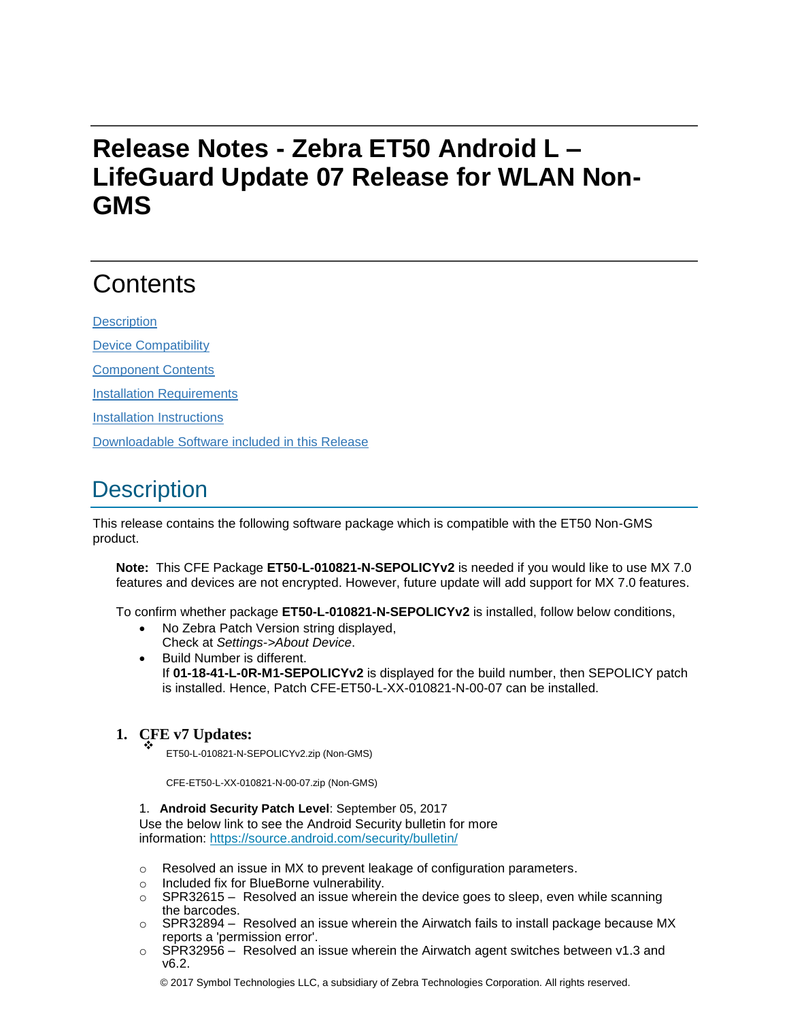# **Release Notes - Zebra ET50 Android L – LifeGuard Update 07 Release for WLAN Non-GMS**

# **Contents**

**[Description](#page-0-0)** 

[Device Compatibility](#page-2-0)

[Component Contents](#page-2-1)

[Installation Requirements](#page-3-0)

[Installation Instructions](#page-3-1)

[Downloadable Software included in this Release](#page-4-0)

# <span id="page-0-0"></span>**Description**

This release contains the following software package which is compatible with the ET50 Non-GMS product.

**Note:** This CFE Package **ET50-L-010821-N-SEPOLICYv2** is needed if you would like to use MX 7.0 features and devices are not encrypted. However, future update will add support for MX 7.0 features.

To confirm whether package **ET50-L-010821-N-SEPOLICYv2** is installed, follow below conditions,

- No Zebra Patch Version string displayed, Check at *Settings->About Device*.
- Build Number is different. If **01-18-41-L-0R-M1-SEPOLICYv2** is displayed for the build number, then SEPOLICY patch is installed. Hence, Patch CFE-ET50-L-XX-010821-N-00-07 can be installed.

#### **1. CFE v7 Updates:** ❖

ET50-L-010821-N-SEPOLICYv2.zip (Non-GMS)

CFE-ET50-L-XX-010821-N-00-07.zip (Non-GMS)

1. **Android Security Patch Level**: September 05, 2017

Use the below link to see the Android Security bulletin for more information:<https://source.android.com/security/bulletin/>

- o Resolved an issue in MX to prevent leakage of configuration parameters.
- o Included fix for BlueBorne vulnerability.
- $\circ$  SPR32615 Resolved an issue wherein the device goes to sleep, even while scanning the barcodes.
- o SPR32894 Resolved an issue wherein the Airwatch fails to install package because MX reports a 'permission error'.
- $\circ$  SPR32956 Resolved an issue wherein the Airwatch agent switches between v1.3 and v6.2.

© 2017 Symbol Technologies LLC, a subsidiary of Zebra Technologies Corporation. All rights reserved.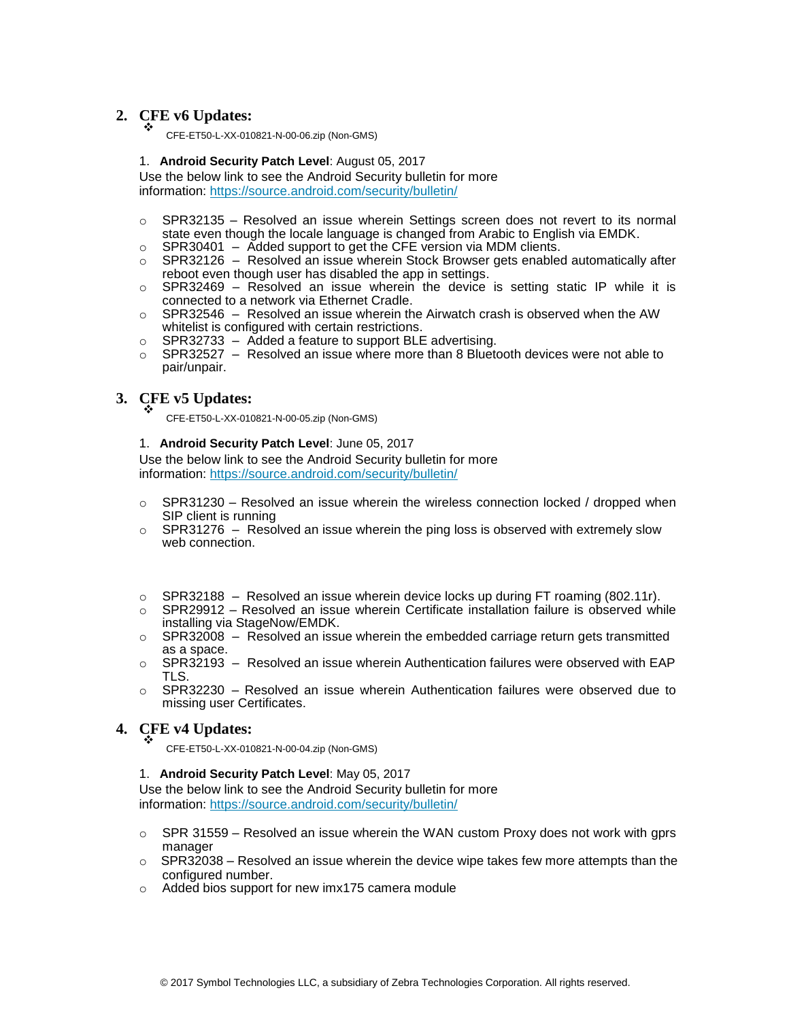#### **2. CFE v6 Updates:** ❖

CFE-ET50-L-XX-010821-N-00-06.zip (Non-GMS)

#### 1. **Android Security Patch Level**: August 05, 2017

Use the below link to see the Android Security bulletin for more information:<https://source.android.com/security/bulletin/>

- $\circ$  SPR32135 Resolved an issue wherein Settings screen does not revert to its normal state even though the locale language is changed from Arabic to English via EMDK.
- $\circ$  SPR30401 Added support to get the CFE version via MDM clients.
- $\circ$  SPR32126 Resolved an issue wherein Stock Browser gets enabled automatically after reboot even though user has disabled the app in settings.
- $\circ$  SPR32469 Resolved an issue wherein the device is setting static IP while it is connected to a network via Ethernet Cradle.
- $\circ$  SPR32546 Resolved an issue wherein the Airwatch crash is observed when the AW whitelist is configured with certain restrictions.
- o SPR32733 Added a feature to support BLE advertising.
- $\circ$  SPR32527 Resolved an issue where more than 8 Bluetooth devices were not able to pair/unpair.

#### **3. CFE v5 Updates:** ❖

CFE-ET50-L-XX-010821-N-00-05.zip (Non-GMS)

#### 1. **Android Security Patch Level**: June 05, 2017

Use the below link to see the Android Security bulletin for more information:<https://source.android.com/security/bulletin/>

- $\circ$  SPR31230 Resolved an issue wherein the wireless connection locked / dropped when SIP client is running
- $\circ$  SPR31276 Resolved an issue wherein the ping loss is observed with extremely slow web connection.
- $\circ$  SPR32188 Resolved an issue wherein device locks up during FT roaming (802.11r).
- o SPR29912 Resolved an issue wherein Certificate installation failure is observed while installing via StageNow/EMDK.
- $\circ$  SPR32008 Resolved an issue wherein the embedded carriage return gets transmitted as a space.
- $\circ$  SPR32193 Resolved an issue wherein Authentication failures were observed with EAP TLS.
- $\circ$  SPR32230 Resolved an issue wherein Authentication failures were observed due to missing user Certificates.

#### **4. CFE v4 Updates:** ❖

- CFE-ET50-L-XX-010821-N-00-04.zip (Non-GMS)
- 1. **Android Security Patch Level**: May 05, 2017

Use the below link to see the Android Security bulletin for more information:<https://source.android.com/security/bulletin/>

- $\circ$  SPR 31559 Resolved an issue wherein the WAN custom Proxy does not work with gprs manager
- $\circ$  SPR32038 Resolved an issue wherein the device wipe takes few more attempts than the configured number.
- o Added bios support for new imx175 camera module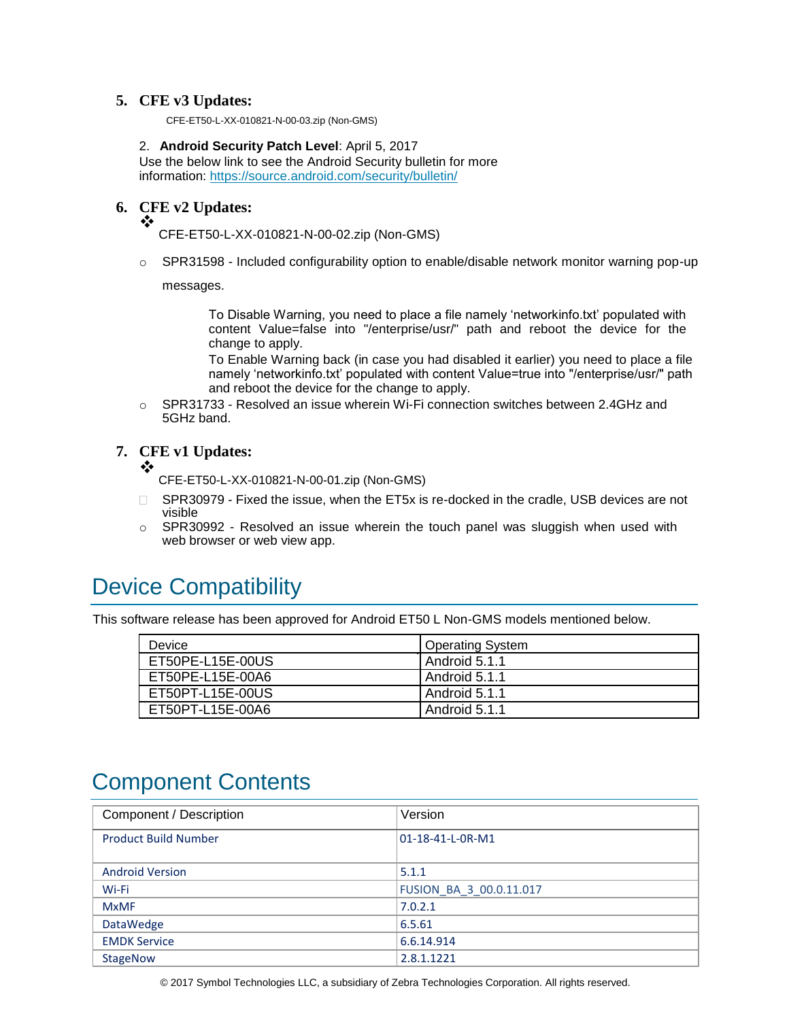#### **5. CFE v3 Updates:**

CFE-ET50-L-XX-010821-N-00-03.zip (Non-GMS)

2. **Android Security Patch Level**: April 5, 2017 Use the below link to see the Android Security bulletin for more information:<https://source.android.com/security/bulletin/>

#### **6. CFE v2 Updates:** ❖

CFE-ET50-L-XX-010821-N-00-02.zip (Non-GMS)

o SPR31598 - Included configurability option to enable/disable network monitor warning pop-up

messages.

To Disable Warning, you need to place a file namely 'networkinfo.txt' populated with content Value=false into "/enterprise/usr/" path and reboot the device for the change to apply.

To Enable Warning back (in case you had disabled it earlier) you need to place a file namely 'networkinfo.txt' populated with content Value=true into "/enterprise/usr/" path and reboot the device for the change to apply.

 $\circ$  SPR31733 - Resolved an issue wherein Wi-Fi connection switches between 2.4GHz and 5GHz band.

**7. CFE v1 Updates:**

❖

CFE-ET50-L-XX-010821-N-00-01.zip (Non-GMS)

- □ SPR30979 Fixed the issue, when the ET5x is re-docked in the cradle, USB devices are not visible
- $\circ$  SPR30992 Resolved an issue wherein the touch panel was sluggish when used with web browser or web view app.

### <span id="page-2-0"></span>Device Compatibility

This software release has been approved for Android ET50 L Non-GMS models mentioned below.

| <b>Device</b>    | <b>Operating System</b> |
|------------------|-------------------------|
| ET50PE-L15E-00US | l Android 5.1.1         |
| ET50PE-L15E-00A6 | l Android 5.1.1         |
| ET50PT-L15E-00US | Android 5.1.1           |
| ET50PT-L15E-00A6 | Android 5.1.1           |

## <span id="page-2-1"></span>Component Contents

| Component / Description     | Version                 |
|-----------------------------|-------------------------|
| <b>Product Build Number</b> | 01-18-41-L-0R-M1        |
| <b>Android Version</b>      | 5.1.1                   |
| Wi-Fi                       | FUSION_BA_3_00.0.11.017 |
| <b>MxMF</b>                 | 7.0.2.1                 |
| <b>DataWedge</b>            | 6.5.61                  |
| <b>EMDK Service</b>         | 6.6.14.914              |
| <b>StageNow</b>             | 2.8.1.1221              |

© 2017 Symbol Technologies LLC, a subsidiary of Zebra Technologies Corporation. All rights reserved.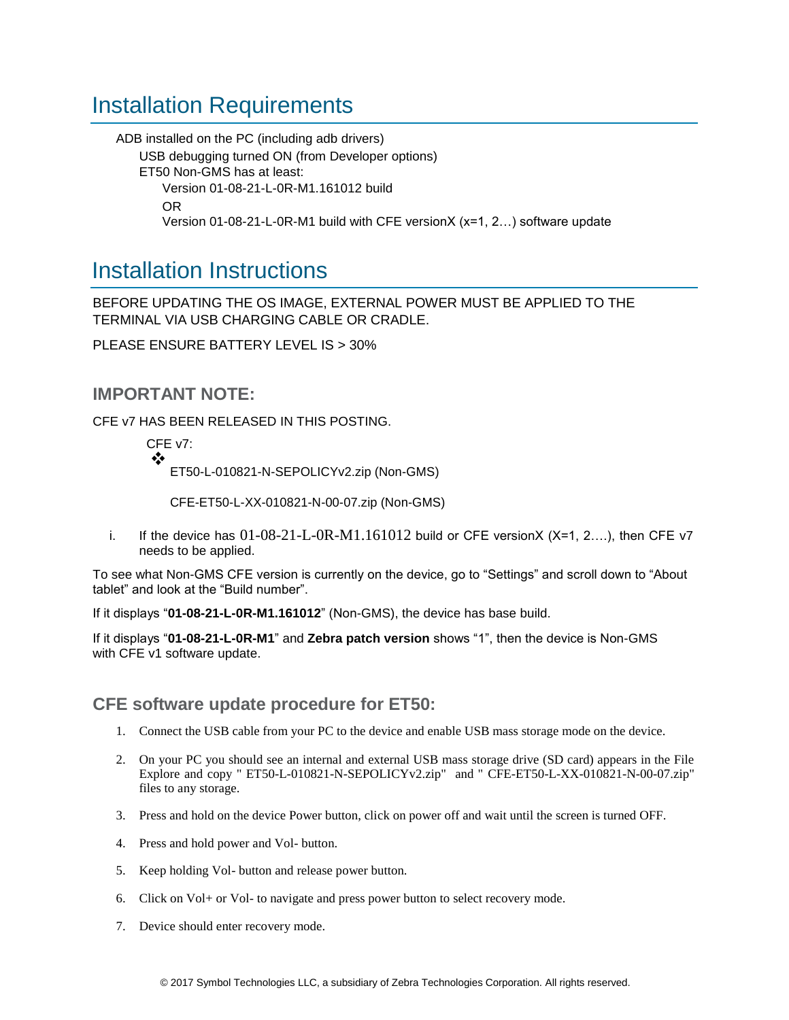## <span id="page-3-0"></span>Installation Requirements

ADB installed on the PC (including adb drivers) USB debugging turned ON (from Developer options) ET50 Non-GMS has at least: Version 01-08-21-L-0R-M1.161012 build OR Version 01-08-21-L-0R-M1 build with CFE versionX (x=1, 2…) software update

### <span id="page-3-1"></span>Installation Instructions

BEFORE UPDATING THE OS IMAGE, EXTERNAL POWER MUST BE APPLIED TO THE TERMINAL VIA USB CHARGING CABLE OR CRADLE.

PLEASE ENSURE BATTERY LEVEL IS > 30%

### **IMPORTANT NOTE:**

CFE v7 HAS BEEN RELEASED IN THIS POSTING.

CFE v7: ❖ ET50-L-010821-N-SEPOLICYv2.zip (Non-GMS)

CFE-ET50-L-XX-010821-N-00-07.zip (Non-GMS)

i. If the device has  $01-08-21-L-0R-M1.161012$  build or CFE versionX (X=1, 2...), then CFE v7 needs to be applied.

To see what Non-GMS CFE version is currently on the device, go to "Settings" and scroll down to "About tablet" and look at the "Build number".

If it displays "**01-08-21-L-0R-M1.161012**" (Non-GMS), the device has base build.

If it displays "**01-08-21-L-0R-M1**" and **Zebra patch version** shows "1", then the device is Non-GMS with CFE v1 software update.

### **CFE software update procedure for ET50:**

- 1. Connect the USB cable from your PC to the device and enable USB mass storage mode on the device.
- 2. On your PC you should see an internal and external USB mass storage drive (SD card) appears in the File Explore and copy " ET50-L-010821-N-SEPOLICYv2.zip" and " CFE-ET50-L-XX-010821-N-00-07.zip" files to any storage.
- 3. Press and hold on the device Power button, click on power off and wait until the screen is turned OFF.
- 4. Press and hold power and Vol- button.
- 5. Keep holding Vol- button and release power button.
- 6. Click on Vol+ or Vol- to navigate and press power button to select recovery mode.
- 7. Device should enter recovery mode.